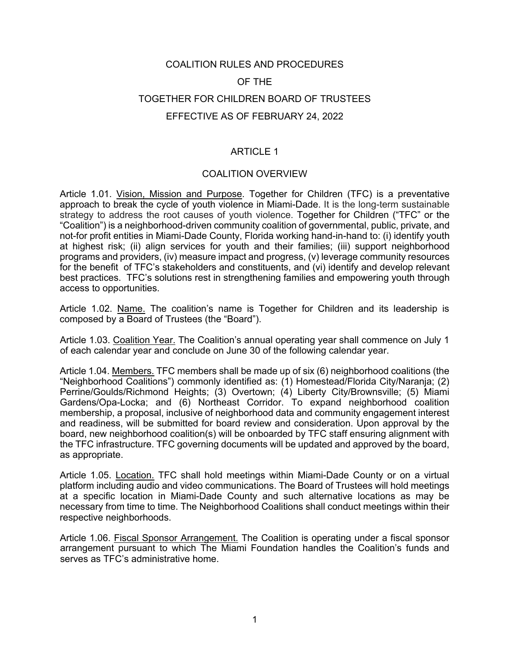# COALITION RULES AND PROCEDURES OF THE TOGETHER FOR CHILDREN BOARD OF TRUSTEES EFFECTIVE AS OF FEBRUARY 24, 2022

# ARTICLE 1

## COALITION OVERVIEW

Article 1.01. *Vision, Mission and Purpose*. Together for Children (TFC) is a preventative approach to break the cycle of youth violence in Miami-Dade. It is the long-term sustainable strategy to address the root causes of youth violence. Together for Children ("TFC" or the "Coalition") is a neighborhood-driven community coalition of governmental, public, private, and not-for profit entities in Miami-Dade County, Florida working hand-in-hand to: (i) identify youth at highest risk; (ii) align services for youth and their families; (iii) support neighborhood programs and providers, (iv) measure impact and progress, (v) leverage community resources for the benefit of TFC's stakeholders and constituents, and (vi) identify and develop relevant best practices. TFC's solutions rest in strengthening families and empowering youth through access to opportunities.

Article 1.02. Name. The coalition's name is Together for Children and its leadership is composed by a Board of Trustees (the "Board").

Article 1.03. Coalition Year. The Coalition's annual operating year shall commence on July 1 of each calendar year and conclude on June 30 of the following calendar year.

Article 1.04. Members. TFC members shall be made up of six (6) neighborhood coalitions (the "Neighborhood Coalitions") commonly identified as: (1) Homestead/Florida City/Naranja; (2) Perrine/Goulds/Richmond Heights; (3) Overtown; (4) Liberty City/Brownsville; (5) Miami Gardens/Opa-Locka; and (6) Northeast Corridor. To expand neighborhood coalition membership, a proposal, inclusive of neighborhood data and community engagement interest and readiness, will be submitted for board review and consideration. Upon approval by the board, new neighborhood coalition(s) will be onboarded by TFC staff ensuring alignment with the TFC infrastructure. TFC governing documents will be updated and approved by the board, as appropriate.

Article 1.05. Location. TFC shall hold meetings within Miami-Dade County or on a virtual platform including audio and video communications. The Board of Trustees will hold meetings at a specific location in Miami-Dade County and such alternative locations as may be necessary from time to time. The Neighborhood Coalitions shall conduct meetings within their respective neighborhoods.

Article 1.06. Fiscal Sponsor Arrangement. The Coalition is operating under a fiscal sponsor arrangement pursuant to which The Miami Foundation handles the Coalition's funds and serves as TFC's administrative home.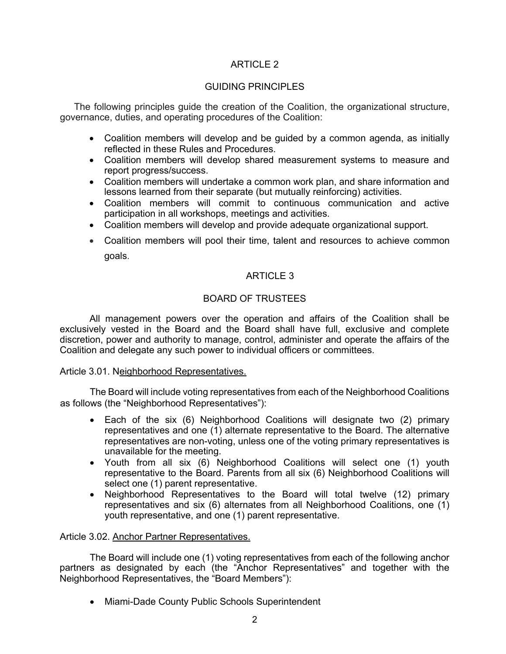# ARTICLE 2

# GUIDING PRINCIPLES

The following principles guide the creation of the Coalition, the organizational structure, governance, duties, and operating procedures of the Coalition:

- Coalition members will develop and be guided by a common agenda, as initially reflected in these Rules and Procedures.
- Coalition members will develop shared measurement systems to measure and report progress/success.
- Coalition members will undertake a common work plan, and share information and lessons learned from their separate (but mutually reinforcing) activities.
- Coalition members will commit to continuous communication and active participation in all workshops, meetings and activities.
- Coalition members will develop and provide adequate organizational support.
- Coalition members will pool their time, talent and resources to achieve common goals.

## ARTICLE 3

## BOARD OF TRUSTEES

All management powers over the operation and affairs of the Coalition shall be exclusively vested in the Board and the Board shall have full, exclusive and complete discretion, power and authority to manage, control, administer and operate the affairs of the Coalition and delegate any such power to individual officers or committees.

## Article 3.01. Neighborhood Representatives.

The Board will include voting representatives from each of the Neighborhood Coalitions as follows (the "Neighborhood Representatives"):

- Each of the six (6) Neighborhood Coalitions will designate two (2) primary representatives and one (1) alternate representative to the Board. The alternative representatives are non-voting, unless one of the voting primary representatives is unavailable for the meeting.
- Youth from all six (6) Neighborhood Coalitions will select one (1) youth representative to the Board. Parents from all six (6) Neighborhood Coalitions will select one (1) parent representative.
- Neighborhood Representatives to the Board will total twelve (12) primary representatives and six (6) alternates from all Neighborhood Coalitions, one (1) youth representative, and one (1) parent representative.

## Article 3.02. Anchor Partner Representatives.

The Board will include one (1) voting representatives from each of the following anchor partners as designated by each (the "Anchor Representatives" and together with the Neighborhood Representatives, the "Board Members"):

• Miami-Dade County Public Schools Superintendent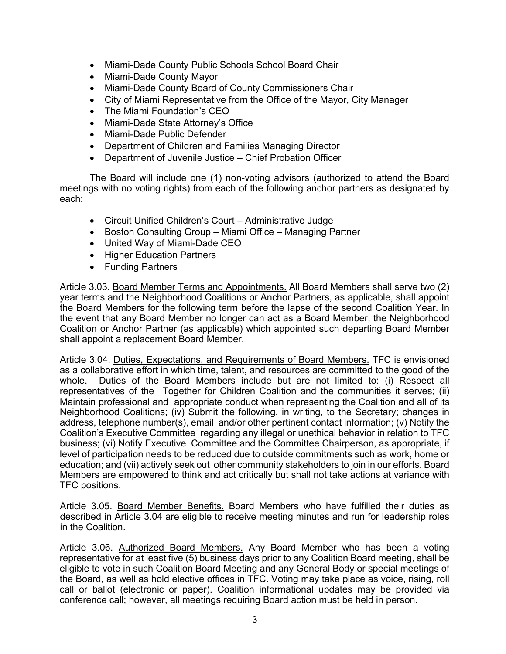- Miami-Dade County Public Schools School Board Chair
- Miami-Dade County Mayor
- Miami-Dade County Board of County Commissioners Chair
- City of Miami Representative from the Office of the Mayor, City Manager
- The Miami Foundation's CEO
- Miami-Dade State Attorney's Office
- Miami-Dade Public Defender
- Department of Children and Families Managing Director
- Department of Juvenile Justice Chief Probation Officer

The Board will include one (1) non-voting advisors (authorized to attend the Board meetings with no voting rights) from each of the following anchor partners as designated by each:

- Circuit Unified Children's Court Administrative Judge
- Boston Consulting Group Miami Office Managing Partner
- United Way of Miami-Dade CEO
- Higher Education Partners
- Funding Partners

Article 3.03. Board Member Terms and Appointments. All Board Members shall serve two (2) year terms and the Neighborhood Coalitions or Anchor Partners, as applicable, shall appoint the Board Members for the following term before the lapse of the second Coalition Year. In the event that any Board Member no longer can act as a Board Member, the Neighborhood Coalition or Anchor Partner (as applicable) which appointed such departing Board Member shall appoint a replacement Board Member.

Article 3.04. Duties, Expectations, and Requirements of Board Members. TFC is envisioned as a collaborative effort in which time, talent, and resources are committed to the good of the whole. Duties of the Board Members include but are not limited to: (i) Respect all representatives of the Together for Children Coalition and the communities it serves; (ii) Maintain professional and appropriate conduct when representing the Coalition and all of its Neighborhood Coalitions; (iv) Submit the following, in writing, to the Secretary; changes in address, telephone number(s), email and/or other pertinent contact information; (v) Notify the Coalition's Executive Committee regarding any illegal or unethical behavior in relation to TFC business; (vi) Notify Executive Committee and the Committee Chairperson, as appropriate, if level of participation needs to be reduced due to outside commitments such as work, home or education; and (vii) actively seek out other community stakeholders to join in our efforts. Board Members are empowered to think and act critically but shall not take actions at variance with TFC positions.

Article 3.05. Board Member Benefits. Board Members who have fulfilled their duties as described in Article 3.04 are eligible to receive meeting minutes and run for leadership roles in the Coalition.

Article 3.06. Authorized Board Members. Any Board Member who has been a voting representative for at least five (5) business days prior to any Coalition Board meeting, shall be eligible to vote in such Coalition Board Meeting and any General Body or special meetings of the Board, as well as hold elective offices in TFC. Voting may take place as voice, rising, roll call or ballot (electronic or paper). Coalition informational updates may be provided via conference call; however, all meetings requiring Board action must be held in person.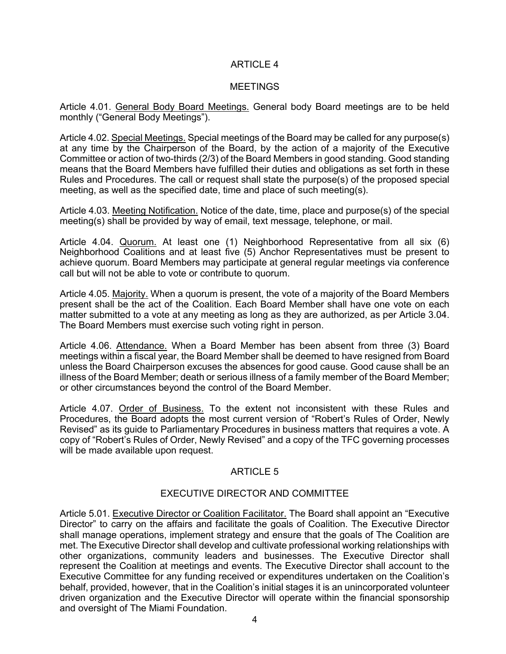# ARTICLE 4

## **MEETINGS**

Article 4.01. General Body Board Meetings. General body Board meetings are to be held monthly ("General Body Meetings").

Article 4.02. Special Meetings. Special meetings of the Board may be called for any purpose(s) at any time by the Chairperson of the Board, by the action of a majority of the Executive Committee or action of two-thirds (2/3) of the Board Members in good standing. Good standing means that the Board Members have fulfilled their duties and obligations as set forth in these Rules and Procedures. The call or request shall state the purpose(s) of the proposed special meeting, as well as the specified date, time and place of such meeting(s).

Article 4.03. Meeting Notification. Notice of the date, time, place and purpose(s) of the special meeting(s) shall be provided by way of email, text message, telephone, or mail.

Article 4.04. Quorum. At least one (1) Neighborhood Representative from all six (6) Neighborhood Coalitions and at least five (5) Anchor Representatives must be present to achieve quorum. Board Members may participate at general regular meetings via conference call but will not be able to vote or contribute to quorum.

Article 4.05. Majority. When a quorum is present, the vote of a majority of the Board Members present shall be the act of the Coalition. Each Board Member shall have one vote on each matter submitted to a vote at any meeting as long as they are authorized, as per Article 3.04. The Board Members must exercise such voting right in person.

Article 4.06. Attendance. When a Board Member has been absent from three (3) Board meetings within a fiscal year, the Board Member shall be deemed to have resigned from Board unless the Board Chairperson excuses the absences for good cause. Good cause shall be an illness of the Board Member; death or serious illness of a family member of the Board Member; or other circumstances beyond the control of the Board Member.

Article 4.07. Order of Business. To the extent not inconsistent with these Rules and Procedures, the Board adopts the most current version of "Robert's Rules of Order, Newly Revised" as its guide to Parliamentary Procedures in business matters that requires a vote. A copy of "Robert's Rules of Order, Newly Revised" and a copy of the TFC governing processes will be made available upon request.

# ARTICLE 5

## EXECUTIVE DIRECTOR AND COMMITTEE

Article 5.01. Executive Director or Coalition Facilitator. The Board shall appoint an "Executive Director" to carry on the affairs and facilitate the goals of Coalition. The Executive Director shall manage operations, implement strategy and ensure that the goals of The Coalition are met. The Executive Director shall develop and cultivate professional working relationships with other organizations, community leaders and businesses. The Executive Director shall represent the Coalition at meetings and events. The Executive Director shall account to the Executive Committee for any funding received or expenditures undertaken on the Coalition's behalf, provided, however, that in the Coalition's initial stages it is an unincorporated volunteer driven organization and the Executive Director will operate within the financial sponsorship and oversight of The Miami Foundation.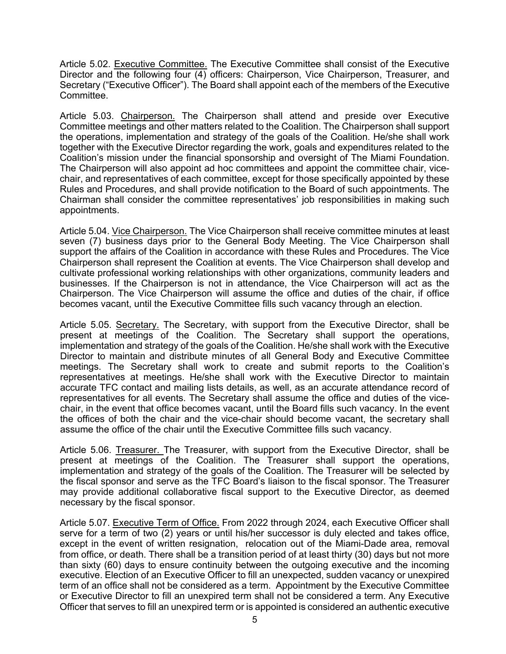Article 5.02. Executive Committee. The Executive Committee shall consist of the Executive Director and the following four (4) officers: Chairperson, Vice Chairperson, Treasurer, and Secretary ("Executive Officer"). The Board shall appoint each of the members of the Executive Committee.

Article 5.03. Chairperson. The Chairperson shall attend and preside over Executive Committee meetings and other matters related to the Coalition. The Chairperson shall support the operations, implementation and strategy of the goals of the Coalition. He/she shall work together with the Executive Director regarding the work, goals and expenditures related to the Coalition's mission under the financial sponsorship and oversight of The Miami Foundation. The Chairperson will also appoint ad hoc committees and appoint the committee chair, vicechair, and representatives of each committee, except for those specifically appointed by these Rules and Procedures, and shall provide notification to the Board of such appointments. The Chairman shall consider the committee representatives' job responsibilities in making such appointments.

Article 5.04. Vice Chairperson. The Vice Chairperson shall receive committee minutes at least seven (7) business days prior to the General Body Meeting. The Vice Chairperson shall support the affairs of the Coalition in accordance with these Rules and Procedures. The Vice Chairperson shall represent the Coalition at events. The Vice Chairperson shall develop and cultivate professional working relationships with other organizations, community leaders and businesses. If the Chairperson is not in attendance, the Vice Chairperson will act as the Chairperson. The Vice Chairperson will assume the office and duties of the chair, if office becomes vacant, until the Executive Committee fills such vacancy through an election.

Article 5.05. Secretary. The Secretary, with support from the Executive Director, shall be present at meetings of the Coalition. The Secretary shall support the operations, implementation and strategy of the goals of the Coalition. He/she shall work with the Executive Director to maintain and distribute minutes of all General Body and Executive Committee meetings. The Secretary shall work to create and submit reports to the Coalition's representatives at meetings. He/she shall work with the Executive Director to maintain accurate TFC contact and mailing lists details, as well, as an accurate attendance record of representatives for all events. The Secretary shall assume the office and duties of the vicechair, in the event that office becomes vacant, until the Board fills such vacancy. In the event the offices of both the chair and the vice-chair should become vacant, the secretary shall assume the office of the chair until the Executive Committee fills such vacancy.

Article 5.06. Treasurer. The Treasurer, with support from the Executive Director, shall be present at meetings of the Coalition. The Treasurer shall support the operations, implementation and strategy of the goals of the Coalition. The Treasurer will be selected by the fiscal sponsor and serve as the TFC Board's liaison to the fiscal sponsor. The Treasurer may provide additional collaborative fiscal support to the Executive Director, as deemed necessary by the fiscal sponsor.

Article 5.07. Executive Term of Office. From 2022 through 2024, each Executive Officer shall serve for a term of two (2) years or until his/her successor is duly elected and takes office, except in the event of written resignation, relocation out of the Miami-Dade area, removal from office, or death. There shall be a transition period of at least thirty (30) days but not more than sixty (60) days to ensure continuity between the outgoing executive and the incoming executive. Election of an Executive Officer to fill an unexpected, sudden vacancy or unexpired term of an office shall not be considered as a term. Appointment by the Executive Committee or Executive Director to fill an unexpired term shall not be considered a term. Any Executive Officer that serves to fill an unexpired term or is appointed is considered an authentic executive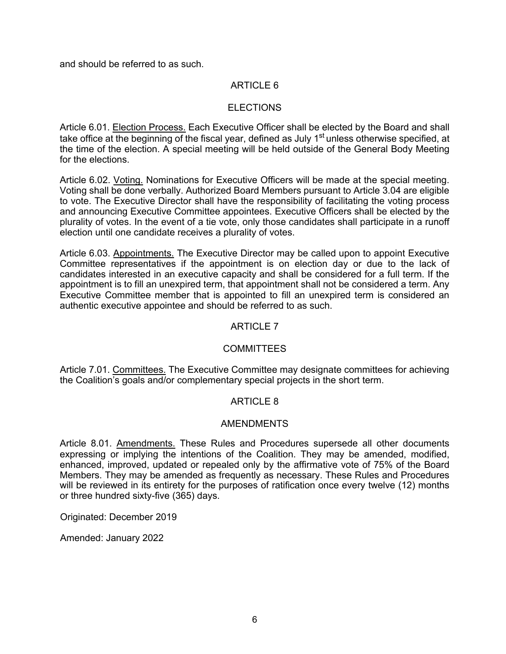and should be referred to as such.

# ARTICLE 6

## ELECTIONS

Article 6.01. Election Process. Each Executive Officer shall be elected by the Board and shall take office at the beginning of the fiscal year, defined as July 1<sup>st</sup> unless otherwise specified, at the time of the election. A special meeting will be held outside of the General Body Meeting for the elections.

Article 6.02. Voting. Nominations for Executive Officers will be made at the special meeting. Voting shall be done verbally. Authorized Board Members pursuant to Article 3.04 are eligible to vote. The Executive Director shall have the responsibility of facilitating the voting process and announcing Executive Committee appointees. Executive Officers shall be elected by the plurality of votes. In the event of a tie vote, only those candidates shall participate in a runoff election until one candidate receives a plurality of votes.

Article 6.03. Appointments. The Executive Director may be called upon to appoint Executive Committee representatives if the appointment is on election day or due to the lack of candidates interested in an executive capacity and shall be considered for a full term. If the appointment is to fill an unexpired term, that appointment shall not be considered a term. Any Executive Committee member that is appointed to fill an unexpired term is considered an authentic executive appointee and should be referred to as such.

# ARTICLE 7

## **COMMITTEES**

Article 7.01. Committees. The Executive Committee may designate committees for achieving the Coalition's goals and/or complementary special projects in the short term.

## ARTICLE 8

## AMENDMENTS

Article 8.01. Amendments. These Rules and Procedures supersede all other documents expressing or implying the intentions of the Coalition. They may be amended, modified, enhanced, improved, updated or repealed only by the affirmative vote of 75% of the Board Members. They may be amended as frequently as necessary. These Rules and Procedures will be reviewed in its entirety for the purposes of ratification once every twelve (12) months or three hundred sixty-five (365) days.

Originated: December 2019

Amended: January 2022